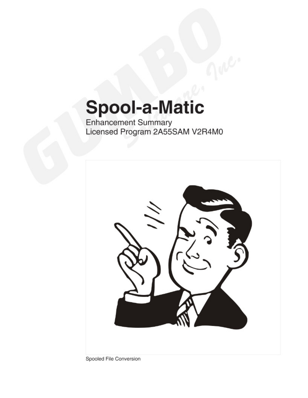# **Spool-a-Matic**

Enhancement Summary<br>Licensed Program 2A55SAM V2R4M0



Spooled File Conversion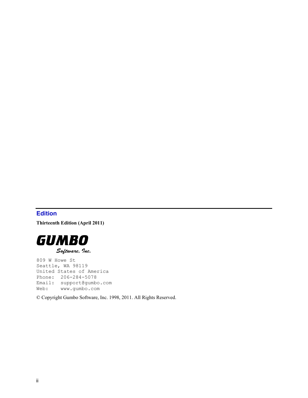# <span id="page-1-0"></span>**Edition**

**Thirteenth Edition (April 2011)** 



809 W Howe St Seattle, WA 98119 United States of America Phone: 206-284-5078 Email: support@gumbo.com Web: www.gumbo.com

© Copyright Gumbo Software, Inc. 1998, 2011. All Rights Reserved.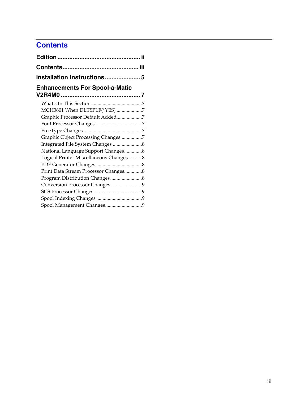# <span id="page-2-0"></span>**Contents**

| <b>Installation Instructions5</b>      |  |
|----------------------------------------|--|
| <b>Enhancements For Spool-a-Matic</b>  |  |
|                                        |  |
| MCH3601 When DLTSPLF(*YES) 7           |  |
| Graphic Processor Default Added7       |  |
|                                        |  |
|                                        |  |
| Graphic Object Processing Changes7     |  |
|                                        |  |
| National Language Support Changes8     |  |
| Logical Printer Miscellaneous Changes8 |  |
|                                        |  |
| Print Data Stream Processor Changes8   |  |
|                                        |  |
| Conversion Processor Changes9          |  |
|                                        |  |
|                                        |  |
| Spool Management Changes9              |  |
|                                        |  |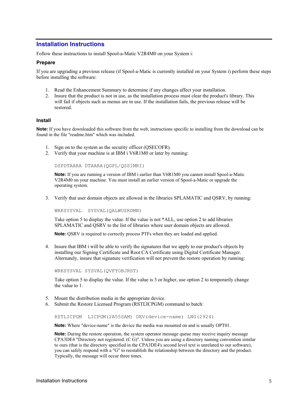# <span id="page-4-0"></span>**Installation Instructions**

Follow these instructions to install Spool-a-Matic V2R4M0 on your System i:

#### **Prepare**

If you are upgrading a previous release (if Spool-a-Matic is currently installed on your System i) perform these steps before installing the software:

- 1. Read the Enhancement Summary to determine if any changes affect your installation.
- 2. Insure that the product is not in use, as the installation process must clear the product's library. This will fail if objects such as menus are in use. If the installation fails, the previous release will be restored.

#### **Install**

**Note:** If you have downloaded this software from the web, instructions specific to installing from the download can be found in the file "readme.htm" which was included.

- 1. Sign on to the system as the security officer (QSECOFR).
- 2. Verify that your machine is at IBM i V6R1M0 or later by running:

DSPDTAARA DTAARA(QGPL/QSS1MRI)

**Note:** If you are running a version of IBM i earlier than V6R1M0 you cannot install Spool-a-Matic V2R4M0 on your machine. You must install an earlier version of Spool-a-Matic or upgrade the operating system.

3. Verify that user domain objects are allowed in the libraries SPLAMATIC and QSRV, by running:

WRKSYSVAL SYSVAL(QALWUSRDMN)

Take option 5 to display the value. If the value is not \*ALL, use option 2 to add libraries SPLAMATIC and QSRV to the list of libraries where user domain objects are allowed.

**Note:** QSRV is required to correctly process PTFs when they are loaded and applied.

4. Insure that IBM i will be able to verify the signatures that we apply to our product's objects by installing our Signing Certificate and Root CA Certificate using Digital Certificate Manager. Alternately, insure that signature verification will not prevent the restore operation by running:

WRKSYSVAL SYSVAL(QVFYOBJRST)

Take option 5 to display the value. If the value is 3 or higher, use option 2 to temporarily change the value to 1.

- 5. Mount the distribution media in the appropriate device.
- 6. Submit the Restore Licensed Program (RSTLICPGM) command to batch:

RSTLICPGM LICPGM(2A55SAM) DEV(device-name) LNG(2924)

**Note:** Where "device-name" is the device the media was mounted on and is usually OPT01.

**Note:** During the restore operation, the system operator message queue may receive inquiry message CPA3DE4 "Directory not registered. (C G)". Unless you are using a directory naming convention similar to ours (that is the directory specified in the CPA3DE4's second level text is unrelated to our software), you can safely respond with a "G" to reestablish the relationship between the directory and the product. Typically, the message will occur three times.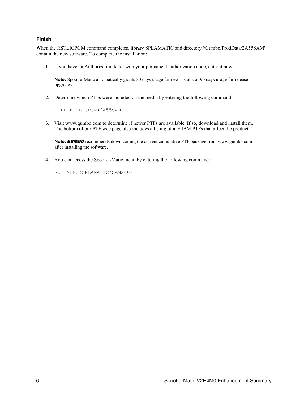#### **Finish**

When the RSTLICPGM command completes, library SPLAMATIC and directory '/Gumbo/ProdData/2A55SAM' contain the new software. To complete the installation:

1. If you have an Authorization letter with your permanent authorization code, enter it now.

**Note:** Spool-a-Matic automatically grants 30 days usage for new installs or 90 days usage for release upgrades.

2. Determine which PTFs were included on the media by entering the following command:

DSPPTF LICPGM(2A55SAM)

3. Visit www.gumbo.com to determine if newer PTFs are available. If so, download and install them. The bottom of our PTF web page also includes a listing of any IBM PTFs that affect the product.

**Note:** *GUMBO* recommends downloading the current cumulative PTF package from www.gumbo.com after installing the software.

- 4. You can access the Spool-a-Matic menu by entering the following command:
	- GO MENU(SPLAMATIC/SAM240)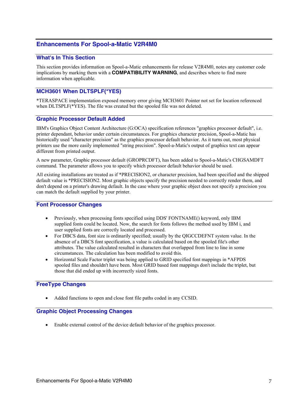# <span id="page-6-0"></span>**Enhancements For Spool-a-Matic V2R4M0**

#### <span id="page-6-1"></span>**What's In This Section**

This section provides information on Spool-a-Matic enhancements for release V2R4M0, notes any customer code implications by marking them with a **COMPATIBILITY WARNING**, and describes where to find more information when applicable.

# <span id="page-6-2"></span>**MCH3601 When DLTSPLF(\*YES)**

\*TERASPACE implementation exposed memory error giving MCH3601 Pointer not set for location referenced when DLTSPLF(\*YES). The file was created but the spooled file was not deleted.

#### <span id="page-6-3"></span>**Graphic Processor Default Added**

IBM's Graphics Object Content Architecture (G:OCA) specification references "graphics processor default", i.e. printer dependant, behavior under certain circumstances. For graphics character precision, Spool-a-Matic has historically used "character precision" as the graphics processor default behavior. As it turns out, most physical printers use the more easily implemented "string precision". Spool-a-Matic's output of graphics text can appear different from printed output.

A new parameter, Graphic processor default (GROPRCDFT), has been added to Spool-a-Matic's CHGSAMDFT command. The parameter allows you to specify which processor default behavior should be used.

All existing installations are treated as if \*PRECISION2, or character precision, had been specified and the shipped default value is \*PRECISION2. Most graphic objects specify the precision needed to correctly render them, and don't depend on a printer's drawing default. In the case where your graphic object does not specify a precision you can match the default supplied by your printer.

#### <span id="page-6-4"></span>**Font Processor Changes**

- Previously, when processing fonts specified using DDS' FONTNAME() keyword, only IBM supplied fonts could be located. Now, the search for fonts follows the method used by IBM i, and user supplied fonts are correctly located and processed.
- For DBCS data, font size is ordinarily specified; usually by the QIGCCDEFNT system value. In the absence of a DBCS font specification, a value is calculated based on the spooled file's other attributes. The value calculated resulted in characters that overlapped from line to line in some circumstances. The calculation has been modified to avoid this.
- Horizontal Scale Factor triplet was being applied to GRID specified font mappings in \*AFPDS spooled files and shouldn't have been. Most GRID based font mappings don't include the triplet, but those that did ended up with incorrectly sized fonts.

#### <span id="page-6-5"></span>**FreeType Changes**

Added functions to open and close font file paths coded in any CCSID.

#### <span id="page-6-6"></span>**Graphic Object Processing Changes**

Enable external control of the device default behavior of the graphics processor.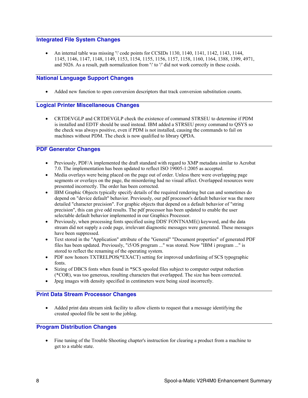### <span id="page-7-0"></span>**Integrated File System Changes**

An internal table was missing '\' code points for CCSIDs 1130, 1140, 1141, 1142, 1143, 1144, 1145, 1146, 1147, 1148, 1149, 1153, 1154, 1155, 1156, 1157, 1158, 1160, 1164, 1388, 1399, 4971, and 5026. As a result, path normalization from '\' to '/' did not work correctly in these ccsids.

# <span id="page-7-1"></span>**National Language Support Changes**

Added new function to open conversion descriptors that track conversion substitution counts.

# <span id="page-7-2"></span>**Logical Printer Miscellaneous Changes**

 CRTDEVGLP and CRTDEVGLP check the existence of command STRSEU to determine if PDM is installed and EDTF should be used instead. IBM added a STRSEU proxy command to QSYS so the check was always positive, even if PDM is not installed, causing the commands to fail on machines without PDM. The check is now qualified to library QPDA.

# <span id="page-7-3"></span>**PDF Generator Changes**

- Previously, PDF/A implemented the draft standard with regard to XMP metadata similar to Acrobat 7.0. The implementation has been updated to reflect ISO 19005-1:2005 as accepted.
- Media overlays were being placed on the page out of order. Unless there were overlapping page segments or overlays on the page, the misordering had no visual affect. Overlapped resources were presented incorrectly. The order has been corrected.
- IBM Graphic Objects typically specify details of the required rendering but can and sometimes do depend on "device default" behavior. Previously, our pdf processor's default behavior was the more detailed "character precision". For graphic objects that depend on a default behavior of "string precision", this can give odd results. The pdf processor has been updated to enable the user selectable default behavior implemented in our Graphics Processor.
- Previously, when processing fonts specified using DDS' FONTNAME() keyword, and the data stream did not supply a code page, irrelevant diagnostic messages were generated. These messages have been suppressed.
- Text stored in the "Application" attribute of the "General" "Document properties" of generated PDF files has been updated. Previously, "i5/OS program ..." was stored. Now "IBM i program ..." is stored to reflect the renaming of the operating system.
- PDF now honors TXTRELPOS(\*EXACT) setting for improved underlining of SCS typographic fonts.
- Sizing of DBCS fonts when found in \*SCS spooled files subject to computer output reduction (\*COR), was too generous, resulting characters that overlapped. The size has been corrected.
- Jpeg images with density specified in centimeters were being sized incorrectly.

# <span id="page-7-4"></span>**Print Data Stream Processor Changes**

 Added print data stream sink facility to allow clients to request that a message identifying the created spooled file be sent to the joblog.

# <span id="page-7-5"></span>**Program Distribution Changes**

 Fine tuning of the Trouble Shooting chapter's instruction for clearing a product from a machine to get to a stable state.